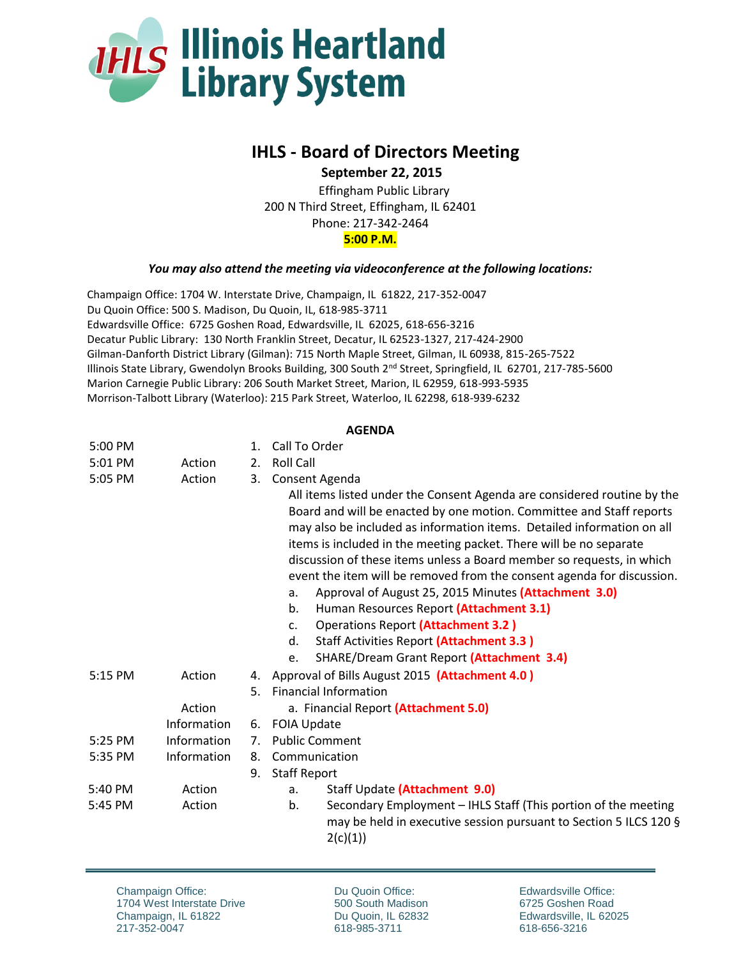

## **IHLS - Board of Directors Meeting**

 **September 22, 2015**

Effingham Public Library 200 N Third Street, Effingham, IL 62401 Phone: 217-342-2464 **5:00 P.M.**

*You may also attend the meeting via videoconference at the following locations:*

Champaign Office: 1704 W. Interstate Drive, Champaign, IL 61822, 217-352-0047 Du Quoin Office: 500 S. Madison, Du Quoin, IL, 618-985-3711 Edwardsville Office: 6725 Goshen Road, Edwardsville, IL 62025, 618-656-3216 Decatur Public Library: 130 North Franklin Street, Decatur, IL 62523-1327, 217-424-2900 Gilman-Danforth District Library (Gilman): 715 North Maple Street, Gilman, IL 60938, 815-265-7522 Illinois State Library, Gwendolyn Brooks Building, 300 South 2<sup>nd</sup> Street, Springfield, IL 62701, 217-785-5600 Marion Carnegie Public Library: 206 South Market Street, Marion, IL 62959, 618-993-5935 Morrison-Talbott Library (Waterloo): 215 Park Street, Waterloo, IL 62298, 618-939-6232

## **AGENDA**

| 5:00 PM |             | 1.          | Call To Order                                                                                                                                                                                                                                                                                                                                                                                                                                                                                                                                                                                                                                                                                                                                                 |
|---------|-------------|-------------|---------------------------------------------------------------------------------------------------------------------------------------------------------------------------------------------------------------------------------------------------------------------------------------------------------------------------------------------------------------------------------------------------------------------------------------------------------------------------------------------------------------------------------------------------------------------------------------------------------------------------------------------------------------------------------------------------------------------------------------------------------------|
| 5:01 PM | Action      | 2.          | <b>Roll Call</b>                                                                                                                                                                                                                                                                                                                                                                                                                                                                                                                                                                                                                                                                                                                                              |
| 5:05 PM | Action      | 3.          | Consent Agenda<br>All items listed under the Consent Agenda are considered routine by the<br>Board and will be enacted by one motion. Committee and Staff reports<br>may also be included as information items. Detailed information on all<br>items is included in the meeting packet. There will be no separate<br>discussion of these items unless a Board member so requests, in which<br>event the item will be removed from the consent agenda for discussion.<br>Approval of August 25, 2015 Minutes (Attachment 3.0)<br>a.<br>Human Resources Report (Attachment 3.1)<br>b.<br><b>Operations Report (Attachment 3.2)</b><br>$C_{\bullet}$<br>Staff Activities Report (Attachment 3.3)<br>d.<br><b>SHARE/Dream Grant Report (Attachment 3.4)</b><br>e. |
| 5:15 PM | Action      | 4.          | Approval of Bills August 2015 (Attachment 4.0)                                                                                                                                                                                                                                                                                                                                                                                                                                                                                                                                                                                                                                                                                                                |
|         |             | 5.          | <b>Financial Information</b>                                                                                                                                                                                                                                                                                                                                                                                                                                                                                                                                                                                                                                                                                                                                  |
|         | Action      |             | a. Financial Report (Attachment 5.0)                                                                                                                                                                                                                                                                                                                                                                                                                                                                                                                                                                                                                                                                                                                          |
|         | Information | 6.          | <b>FOIA Update</b>                                                                                                                                                                                                                                                                                                                                                                                                                                                                                                                                                                                                                                                                                                                                            |
| 5:25 PM | Information | $7_{\cdot}$ | <b>Public Comment</b>                                                                                                                                                                                                                                                                                                                                                                                                                                                                                                                                                                                                                                                                                                                                         |
| 5:35 PM | Information | 8.          | Communication                                                                                                                                                                                                                                                                                                                                                                                                                                                                                                                                                                                                                                                                                                                                                 |
|         |             | 9.          | <b>Staff Report</b>                                                                                                                                                                                                                                                                                                                                                                                                                                                                                                                                                                                                                                                                                                                                           |
| 5:40 PM | Action      |             | Staff Update (Attachment 9.0)<br>a.                                                                                                                                                                                                                                                                                                                                                                                                                                                                                                                                                                                                                                                                                                                           |
| 5:45 PM | Action      |             | Secondary Employment - IHLS Staff (This portion of the meeting<br>b.<br>may be held in executive session pursuant to Section 5 ILCS 120 §<br>2(c)(1))                                                                                                                                                                                                                                                                                                                                                                                                                                                                                                                                                                                                         |

Champaign Office: 1704 West Interstate Drive Champaign, IL 61822 217-352-0047

Du Quoin Office: 500 South Madison Du Quoin, IL 62832 618-985-3711

Edwardsville Office: 6725 Goshen Road Edwardsville, IL 62025 618-656-3216